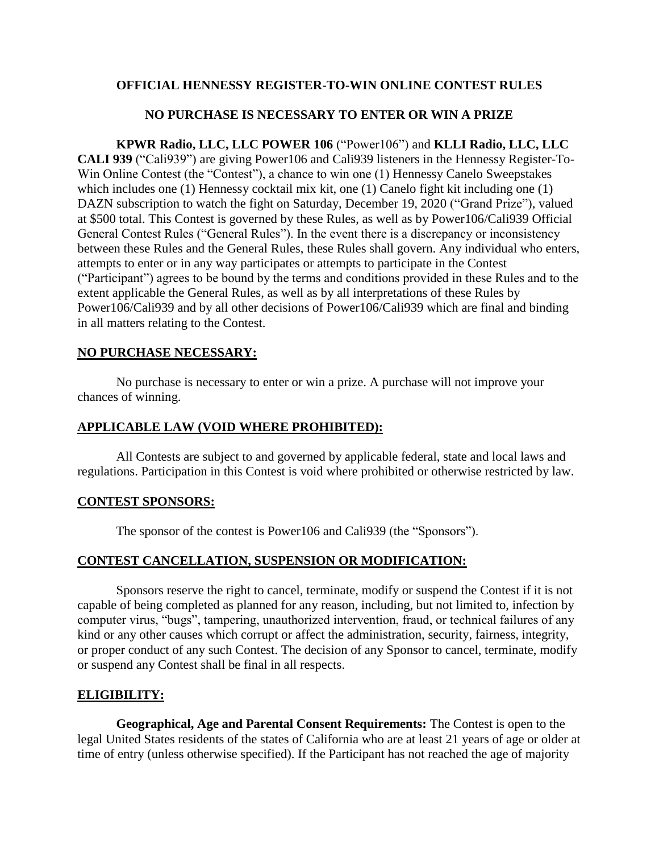## **OFFICIAL HENNESSY REGISTER-TO-WIN ONLINE CONTEST RULES**

## **NO PURCHASE IS NECESSARY TO ENTER OR WIN A PRIZE**

**KPWR Radio, LLC, LLC POWER 106** ("Power106") and **KLLI Radio, LLC, LLC CALI 939** ("Cali939") are giving Power106 and Cali939 listeners in the Hennessy Register-To-Win Online Contest (the "Contest"), a chance to win one (1) Hennessy Canelo Sweepstakes which includes one (1) Hennessy cocktail mix kit, one (1) Canelo fight kit including one (1) DAZN subscription to watch the fight on Saturday, December 19, 2020 ("Grand Prize"), valued at \$500 total. This Contest is governed by these Rules, as well as by Power106/Cali939 Official General Contest Rules ("General Rules"). In the event there is a discrepancy or inconsistency between these Rules and the General Rules, these Rules shall govern. Any individual who enters, attempts to enter or in any way participates or attempts to participate in the Contest ("Participant") agrees to be bound by the terms and conditions provided in these Rules and to the extent applicable the General Rules, as well as by all interpretations of these Rules by Power106/Cali939 and by all other decisions of Power106/Cali939 which are final and binding in all matters relating to the Contest.

#### **NO PURCHASE NECESSARY:**

No purchase is necessary to enter or win a prize. A purchase will not improve your chances of winning.

#### **APPLICABLE LAW (VOID WHERE PROHIBITED):**

All Contests are subject to and governed by applicable federal, state and local laws and regulations. Participation in this Contest is void where prohibited or otherwise restricted by law.

#### **CONTEST SPONSORS:**

The sponsor of the contest is Power106 and Cali939 (the "Sponsors").

#### **CONTEST CANCELLATION, SUSPENSION OR MODIFICATION:**

Sponsors reserve the right to cancel, terminate, modify or suspend the Contest if it is not capable of being completed as planned for any reason, including, but not limited to, infection by computer virus, "bugs", tampering, unauthorized intervention, fraud, or technical failures of any kind or any other causes which corrupt or affect the administration, security, fairness, integrity, or proper conduct of any such Contest. The decision of any Sponsor to cancel, terminate, modify or suspend any Contest shall be final in all respects.

#### **ELIGIBILITY:**

**Geographical, Age and Parental Consent Requirements:** The Contest is open to the legal United States residents of the states of California who are at least 21 years of age or older at time of entry (unless otherwise specified). If the Participant has not reached the age of majority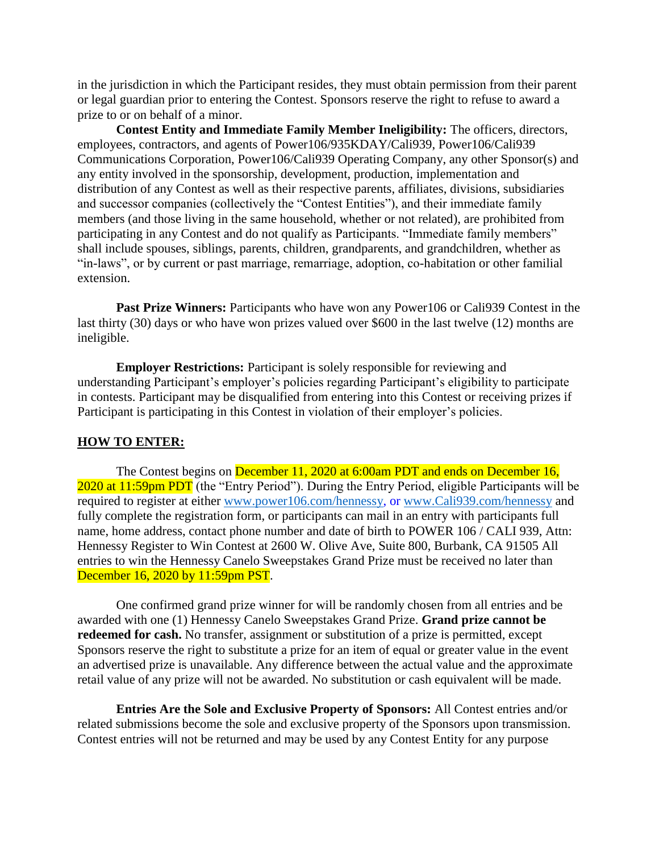in the jurisdiction in which the Participant resides, they must obtain permission from their parent or legal guardian prior to entering the Contest. Sponsors reserve the right to refuse to award a prize to or on behalf of a minor.

**Contest Entity and Immediate Family Member Ineligibility:** The officers, directors, employees, contractors, and agents of Power106/935KDAY/Cali939, Power106/Cali939 Communications Corporation, Power106/Cali939 Operating Company, any other Sponsor(s) and any entity involved in the sponsorship, development, production, implementation and distribution of any Contest as well as their respective parents, affiliates, divisions, subsidiaries and successor companies (collectively the "Contest Entities"), and their immediate family members (and those living in the same household, whether or not related), are prohibited from participating in any Contest and do not qualify as Participants. "Immediate family members" shall include spouses, siblings, parents, children, grandparents, and grandchildren, whether as "in-laws", or by current or past marriage, remarriage, adoption, co-habitation or other familial extension.

**Past Prize Winners:** Participants who have won any Power106 or Cali939 Contest in the last thirty (30) days or who have won prizes valued over \$600 in the last twelve (12) months are ineligible.

**Employer Restrictions:** Participant is solely responsible for reviewing and understanding Participant's employer's policies regarding Participant's eligibility to participate in contests. Participant may be disqualified from entering into this Contest or receiving prizes if Participant is participating in this Contest in violation of their employer's policies.

#### **HOW TO ENTER:**

The Contest begins on December 11, 2020 at 6:00am PDT and ends on December 16, 2020 at 11:59pm PDT (the "Entry Period"). During the Entry Period, eligible Participants will be required to register at either [www.power106.com/hennessy,](http://www.power106.com/hennessy) or [www.Cali939.com/hennessy](http://www.cali939.com/hennessy) and fully complete the registration form, or participants can mail in an entry with participants full name, home address, contact phone number and date of birth to POWER 106 / CALI 939, Attn: Hennessy Register to Win Contest at 2600 W. Olive Ave, Suite 800, Burbank, CA 91505 All entries to win the Hennessy Canelo Sweepstakes Grand Prize must be received no later than December 16, 2020 by 11:59pm PST.

One confirmed grand prize winner for will be randomly chosen from all entries and be awarded with one (1) Hennessy Canelo Sweepstakes Grand Prize. **Grand prize cannot be redeemed for cash.** No transfer, assignment or substitution of a prize is permitted, except Sponsors reserve the right to substitute a prize for an item of equal or greater value in the event an advertised prize is unavailable. Any difference between the actual value and the approximate retail value of any prize will not be awarded. No substitution or cash equivalent will be made.

**Entries Are the Sole and Exclusive Property of Sponsors:** All Contest entries and/or related submissions become the sole and exclusive property of the Sponsors upon transmission. Contest entries will not be returned and may be used by any Contest Entity for any purpose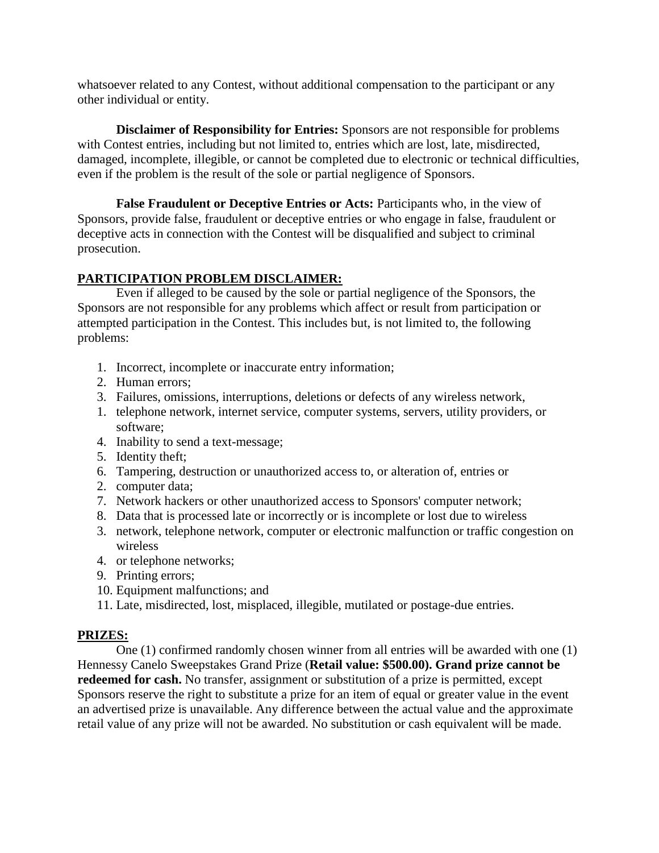whatsoever related to any Contest, without additional compensation to the participant or any other individual or entity.

**Disclaimer of Responsibility for Entries:** Sponsors are not responsible for problems with Contest entries, including but not limited to, entries which are lost, late, misdirected, damaged, incomplete, illegible, or cannot be completed due to electronic or technical difficulties, even if the problem is the result of the sole or partial negligence of Sponsors.

**False Fraudulent or Deceptive Entries or Acts:** Participants who, in the view of Sponsors, provide false, fraudulent or deceptive entries or who engage in false, fraudulent or deceptive acts in connection with the Contest will be disqualified and subject to criminal prosecution.

# **PARTICIPATION PROBLEM DISCLAIMER:**

Even if alleged to be caused by the sole or partial negligence of the Sponsors, the Sponsors are not responsible for any problems which affect or result from participation or attempted participation in the Contest. This includes but, is not limited to, the following problems:

- 1. Incorrect, incomplete or inaccurate entry information;
- 2. Human errors;
- 3. Failures, omissions, interruptions, deletions or defects of any wireless network,
- 1. telephone network, internet service, computer systems, servers, utility providers, or software;
- 4. Inability to send a text-message;
- 5. Identity theft;
- 6. Tampering, destruction or unauthorized access to, or alteration of, entries or
- 2. computer data;
- 7. Network hackers or other unauthorized access to Sponsors' computer network;
- 8. Data that is processed late or incorrectly or is incomplete or lost due to wireless
- 3. network, telephone network, computer or electronic malfunction or traffic congestion on wireless
- 4. or telephone networks;
- 9. Printing errors;
- 10. Equipment malfunctions; and
- 11. Late, misdirected, lost, misplaced, illegible, mutilated or postage-due entries.

#### **PRIZES:**

One (1) confirmed randomly chosen winner from all entries will be awarded with one (1) Hennessy Canelo Sweepstakes Grand Prize (**Retail value: \$500.00). Grand prize cannot be redeemed for cash.** No transfer, assignment or substitution of a prize is permitted, except Sponsors reserve the right to substitute a prize for an item of equal or greater value in the event an advertised prize is unavailable. Any difference between the actual value and the approximate retail value of any prize will not be awarded. No substitution or cash equivalent will be made.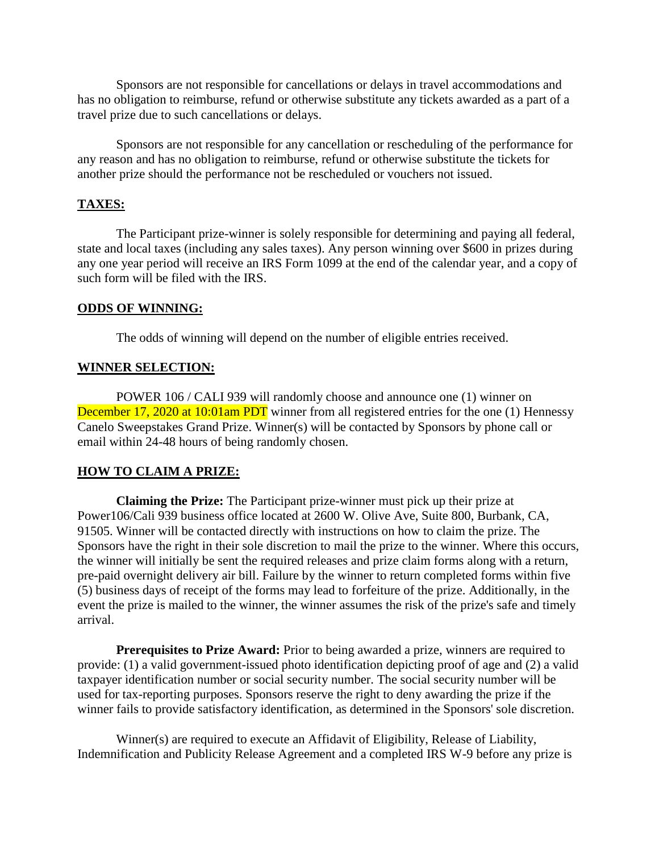Sponsors are not responsible for cancellations or delays in travel accommodations and has no obligation to reimburse, refund or otherwise substitute any tickets awarded as a part of a travel prize due to such cancellations or delays.

Sponsors are not responsible for any cancellation or rescheduling of the performance for any reason and has no obligation to reimburse, refund or otherwise substitute the tickets for another prize should the performance not be rescheduled or vouchers not issued.

# **TAXES:**

The Participant prize-winner is solely responsible for determining and paying all federal, state and local taxes (including any sales taxes). Any person winning over \$600 in prizes during any one year period will receive an IRS Form 1099 at the end of the calendar year, and a copy of such form will be filed with the IRS.

#### **ODDS OF WINNING:**

The odds of winning will depend on the number of eligible entries received.

## **WINNER SELECTION:**

POWER 106 / CALI 939 will randomly choose and announce one (1) winner on December 17, 2020 at 10:01am PDT winner from all registered entries for the one (1) Hennessy Canelo Sweepstakes Grand Prize. Winner(s) will be contacted by Sponsors by phone call or email within 24-48 hours of being randomly chosen.

# **HOW TO CLAIM A PRIZE:**

**Claiming the Prize:** The Participant prize-winner must pick up their prize at Power106/Cali 939 business office located at 2600 W. Olive Ave, Suite 800, Burbank, CA, 91505. Winner will be contacted directly with instructions on how to claim the prize. The Sponsors have the right in their sole discretion to mail the prize to the winner. Where this occurs, the winner will initially be sent the required releases and prize claim forms along with a return, pre-paid overnight delivery air bill. Failure by the winner to return completed forms within five (5) business days of receipt of the forms may lead to forfeiture of the prize. Additionally, in the event the prize is mailed to the winner, the winner assumes the risk of the prize's safe and timely arrival.

**Prerequisites to Prize Award:** Prior to being awarded a prize, winners are required to provide: (1) a valid government-issued photo identification depicting proof of age and (2) a valid taxpayer identification number or social security number. The social security number will be used for tax-reporting purposes. Sponsors reserve the right to deny awarding the prize if the winner fails to provide satisfactory identification, as determined in the Sponsors' sole discretion.

Winner(s) are required to execute an Affidavit of Eligibility, Release of Liability, Indemnification and Publicity Release Agreement and a completed IRS W-9 before any prize is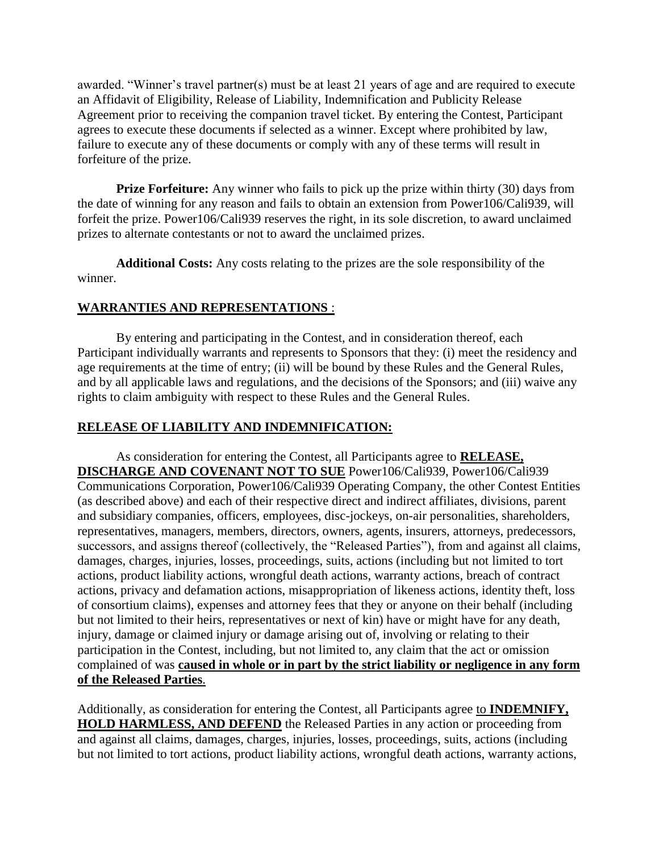awarded. "Winner's travel partner(s) must be at least 21 years of age and are required to execute an Affidavit of Eligibility, Release of Liability, Indemnification and Publicity Release Agreement prior to receiving the companion travel ticket. By entering the Contest, Participant agrees to execute these documents if selected as a winner. Except where prohibited by law, failure to execute any of these documents or comply with any of these terms will result in forfeiture of the prize.

**Prize Forfeiture:** Any winner who fails to pick up the prize within thirty (30) days from the date of winning for any reason and fails to obtain an extension from Power106/Cali939, will forfeit the prize. Power106/Cali939 reserves the right, in its sole discretion, to award unclaimed prizes to alternate contestants or not to award the unclaimed prizes.

**Additional Costs:** Any costs relating to the prizes are the sole responsibility of the winner.

# **WARRANTIES AND REPRESENTATIONS** :

By entering and participating in the Contest, and in consideration thereof, each Participant individually warrants and represents to Sponsors that they: (i) meet the residency and age requirements at the time of entry; (ii) will be bound by these Rules and the General Rules, and by all applicable laws and regulations, and the decisions of the Sponsors; and (iii) waive any rights to claim ambiguity with respect to these Rules and the General Rules.

# **RELEASE OF LIABILITY AND INDEMNIFICATION:**

As consideration for entering the Contest, all Participants agree to **RELEASE, DISCHARGE AND COVENANT NOT TO SUE** Power106/Cali939, Power106/Cali939 Communications Corporation, Power106/Cali939 Operating Company, the other Contest Entities (as described above) and each of their respective direct and indirect affiliates, divisions, parent and subsidiary companies, officers, employees, disc-jockeys, on-air personalities, shareholders, representatives, managers, members, directors, owners, agents, insurers, attorneys, predecessors, successors, and assigns thereof (collectively, the "Released Parties"), from and against all claims, damages, charges, injuries, losses, proceedings, suits, actions (including but not limited to tort actions, product liability actions, wrongful death actions, warranty actions, breach of contract actions, privacy and defamation actions, misappropriation of likeness actions, identity theft, loss of consortium claims), expenses and attorney fees that they or anyone on their behalf (including but not limited to their heirs, representatives or next of kin) have or might have for any death, injury, damage or claimed injury or damage arising out of, involving or relating to their participation in the Contest, including, but not limited to, any claim that the act or omission complained of was **caused in whole or in part by the strict liability or negligence in any form of the Released Parties**.

Additionally, as consideration for entering the Contest, all Participants agree to **INDEMNIFY, HOLD HARMLESS, AND DEFEND** the Released Parties in any action or proceeding from and against all claims, damages, charges, injuries, losses, proceedings, suits, actions (including but not limited to tort actions, product liability actions, wrongful death actions, warranty actions,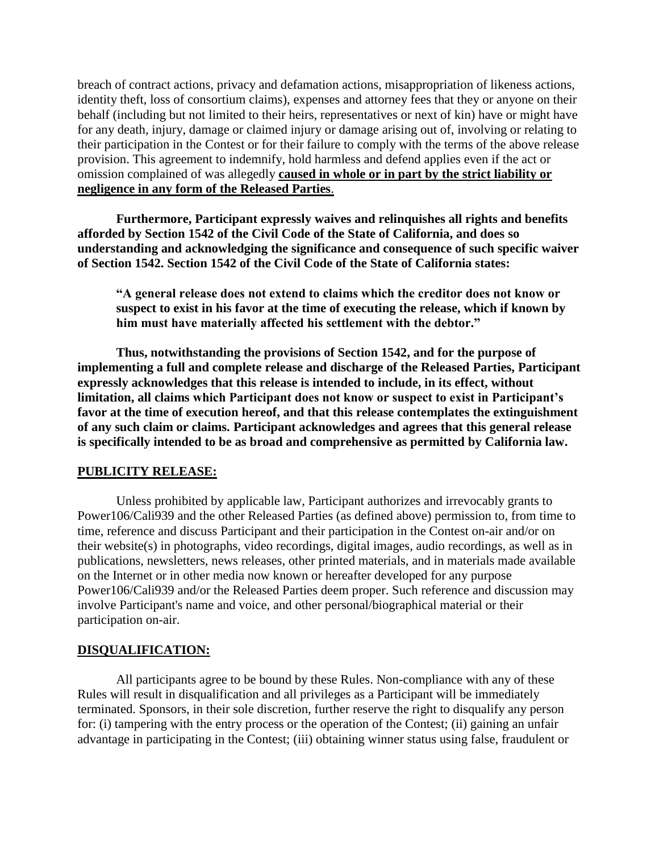breach of contract actions, privacy and defamation actions, misappropriation of likeness actions, identity theft, loss of consortium claims), expenses and attorney fees that they or anyone on their behalf (including but not limited to their heirs, representatives or next of kin) have or might have for any death, injury, damage or claimed injury or damage arising out of, involving or relating to their participation in the Contest or for their failure to comply with the terms of the above release provision. This agreement to indemnify, hold harmless and defend applies even if the act or omission complained of was allegedly **caused in whole or in part by the strict liability or negligence in any form of the Released Parties**.

**Furthermore, Participant expressly waives and relinquishes all rights and benefits afforded by Section 1542 of the Civil Code of the State of California, and does so understanding and acknowledging the significance and consequence of such specific waiver of Section 1542. Section 1542 of the Civil Code of the State of California states:**

**"A general release does not extend to claims which the creditor does not know or suspect to exist in his favor at the time of executing the release, which if known by him must have materially affected his settlement with the debtor."**

**Thus, notwithstanding the provisions of Section 1542, and for the purpose of implementing a full and complete release and discharge of the Released Parties, Participant expressly acknowledges that this release is intended to include, in its effect, without limitation, all claims which Participant does not know or suspect to exist in Participant's favor at the time of execution hereof, and that this release contemplates the extinguishment of any such claim or claims. Participant acknowledges and agrees that this general release is specifically intended to be as broad and comprehensive as permitted by California law.**

#### **PUBLICITY RELEASE:**

Unless prohibited by applicable law, Participant authorizes and irrevocably grants to Power106/Cali939 and the other Released Parties (as defined above) permission to, from time to time, reference and discuss Participant and their participation in the Contest on-air and/or on their website(s) in photographs, video recordings, digital images, audio recordings, as well as in publications, newsletters, news releases, other printed materials, and in materials made available on the Internet or in other media now known or hereafter developed for any purpose Power106/Cali939 and/or the Released Parties deem proper. Such reference and discussion may involve Participant's name and voice, and other personal/biographical material or their participation on-air.

#### **DISQUALIFICATION:**

All participants agree to be bound by these Rules. Non-compliance with any of these Rules will result in disqualification and all privileges as a Participant will be immediately terminated. Sponsors, in their sole discretion, further reserve the right to disqualify any person for: (i) tampering with the entry process or the operation of the Contest; (ii) gaining an unfair advantage in participating in the Contest; (iii) obtaining winner status using false, fraudulent or